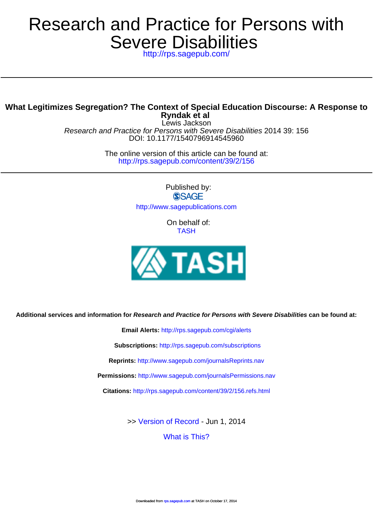# Severe Disabilities Research and Practice for Persons with

<http://rps.sagepub.com/>

# **Ryndak et al What Legitimizes Segregation? The Context of Special Education Discourse: A Response to**

DOI: 10.1177/1540796914545960 Research and Practice for Persons with Severe Disabilities 2014 39: 156 Lewis Jackson

> <http://rps.sagepub.com/content/39/2/156> The online version of this article can be found at:

> > Published by: **SSAGE**

<http://www.sagepublications.com>

On behalf of: TASH



**Additional services and information for Research and Practice for Persons with Severe Disabilities can be found at:**

**Email Alerts:** <http://rps.sagepub.com/cgi/alerts>

**Subscriptions:** <http://rps.sagepub.com/subscriptions>

**Reprints:** <http://www.sagepub.com/journalsReprints.nav>

**Permissions:** <http://www.sagepub.com/journalsPermissions.nav>

**Citations:** <http://rps.sagepub.com/content/39/2/156.refs.html>

>> [Version of Record -](http://rps.sagepub.com/content/39/2/156.full.pdf) Jun 1, 2014

[What is This?](http://online.sagepub.com/site/sphelp/vorhelp.xhtml)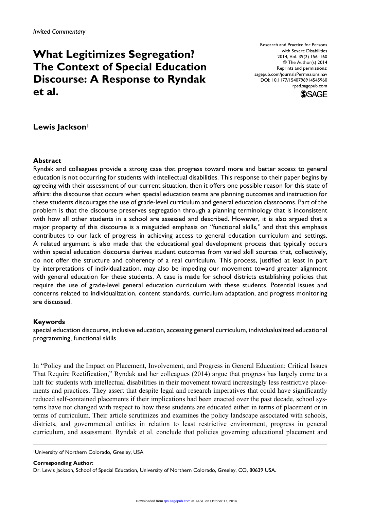# **What Legitimizes Segregation? The Context of Special Education Discourse: A Response to Ryndak et al.**

Research and Practice for Persons with Severe Disabilities 2014, Vol. 39(2) 156–160 © The Author(s) 2014 Reprints and permissions: sagepub.com/journalsPermissions.nav DOI: 10.1177/1540796914545960 rpsd.sagepub.com



# Lewis Jackson<sup>1</sup>

### **Abstract**

Ryndak and colleagues provide a strong case that progress toward more and better access to general education is not occurring for students with intellectual disabilities. This response to their paper begins by agreeing with their assessment of our current situation, then it offers one possible reason for this state of affairs: the discourse that occurs when special education teams are planning outcomes and instruction for these students discourages the use of grade-level curriculum and general education classrooms. Part of the problem is that the discourse preserves segregation through a planning terminology that is inconsistent with how all other students in a school are assessed and described. However, it is also argued that a major property of this discourse is a misguided emphasis on "functional skills," and that this emphasis contributes to our lack of progress in achieving access to general education curriculum and settings. A related argument is also made that the educational goal development process that typically occurs within special education discourse derives student outcomes from varied skill sources that, collectively, do not offer the structure and coherency of a real curriculum. This process, justified at least in part by interpretations of individualization, may also be impeding our movement toward greater alignment with general education for these students. A case is made for school districts establishing policies that require the use of grade-level general education curriculum with these students. Potential issues and concerns related to individualization, content standards, curriculum adaptation, and progress monitoring are discussed.

## **Keywords**

special education discourse, inclusive education, accessing general curriculum, individualualized educational programming, functional skills

In "Policy and the Impact on Placement, Involvement, and Progress in General Education: Critical Issues That Require Rectification," Ryndak and her colleagues (2014) argue that progress has largely come to a halt for students with intellectual disabilities in their movement toward increasingly less restrictive placements and practices. They assert that despite legal and research imperatives that could have significantly reduced self-contained placements if their implications had been enacted over the past decade, school systems have not changed with respect to how these students are educated either in terms of placement or in terms of curriculum. Their article scrutinizes and examines the policy landscape associated with schools, districts, and governmental entities in relation to least restrictive environment, progress in general curriculum, and assessment. Ryndak et al. conclude that policies governing educational placement and

1University of Northern Colorado, Greeley, USA

**Corresponding Author:**

Dr. Lewis Jackson, School of Special Education, University of Northern Colorado, Greeley, CO, 80639 USA.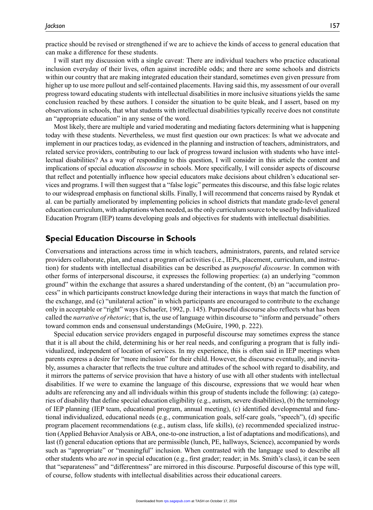practice should be revised or strengthened if we are to achieve the kinds of access to general education that can make a difference for these students.

I will start my discussion with a single caveat: There are individual teachers who practice educational inclusion everyday of their lives, often against incredible odds; and there are some schools and districts within our country that are making integrated education their standard, sometimes even given pressure from higher up to use more pullout and self-contained placements. Having said this, my assessment of our overall progress toward educating students with intellectual disabilities in more inclusive situations yields the same conclusion reached by these authors. I consider the situation to be quite bleak, and I assert, based on my observations in schools, that what students with intellectual disabilities typically receive does not constitute an "appropriate education" in any sense of the word.

Most likely, there are multiple and varied moderating and mediating factors determining what is happening today with these students. Nevertheless, we must first question our own practices: Is what we advocate and implement in our practices today, as evidenced in the planning and instruction of teachers, administrators, and related service providers, contributing to our lack of progress toward inclusion with students who have intellectual disabilities? As a way of responding to this question, I will consider in this article the content and implications of special education *discourse* in schools. More specifically, I will consider aspects of discourse that reflect and potentially influence how special educators make decisions about children's educational services and programs. I will then suggest that a "false logic" permeates this discourse, and this false logic relates to our widespread emphasis on functional skills. Finally, I will recommend that concerns raised by Ryndak et al. can be partially ameliorated by implementing policies in school districts that mandate grade-level general education curriculum, with adaptations when needed, as the only curriculum source to be used by Individualized Education Program (IEP) teams developing goals and objectives for students with intellectual disabilities.

# **Special Education Discourse in Schools**

Conversations and interactions across time in which teachers, administrators, parents, and related service providers collaborate, plan, and enact a program of activities (i.e., IEPs, placement, curriculum, and instruction) for students with intellectual disabilities can be described as *purposeful discourse*. In common with other forms of interpersonal discourse, it expresses the following properties: (a) an underlying "common ground" within the exchange that assures a shared understanding of the content, (b) an "accumulation process" in which participants construct knowledge during their interactions in ways that match the function of the exchange, and (c) "unilateral action" in which participants are encouraged to contribute to the exchange only in acceptable or "right" ways (Schaefer, 1992, p. 145). Purposeful discourse also reflects what has been called the *narrative of rhetoric*; that is, the use of language within discourse to "inform and persuade" others toward common ends and consensual understandings (McGuire, 1990, p. 222).

Special education service providers engaged in purposeful discourse may sometimes express the stance that it is all about the child, determining his or her real needs, and configuring a program that is fully individualized, independent of location of services. In my experience, this is often said in IEP meetings when parents express a desire for "more inclusion" for their child. However, the discourse eventually, and inevitably, assumes a character that reflects the true culture and attitudes of the school with regard to disability, and it mirrors the patterns of service provision that have a history of use with all other students with intellectual disabilities. If we were to examine the language of this discourse, expressions that we would hear when adults are referencing any and all individuals within this group of students include the following: (a) categories of disability that define special education eligibility (e.g., autism, severe disabilities), (b) the terminology of IEP planning (IEP team, educational program, annual meeting), (c) identified developmental and functional individualized, educational needs (e.g., communication goals, self-care goals, "speech"), (d) specific program placement recommendations (e.g., autism class, life skills), (e) recommended specialized instruction (Applied Behavior Analysis or ABA, one-to-one instruction, a list of adaptations and modifications), and last (f) general education options that are permissible (lunch, PE, hallways, Science), accompanied by words such as "appropriate" or "meaningful" inclusion. When contrasted with the language used to describe all other students who are *not* in special education (e.g., first grader; reader; in Ms. Smith's class), it can be seen that "separateness" and "differentness" are mirrored in this discourse. Purposeful discourse of this type will, of course, follow students with intellectual disabilities across their educational careers.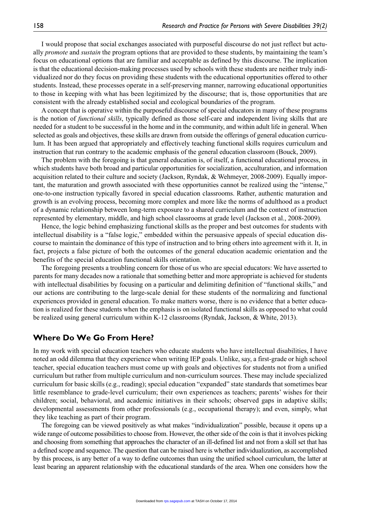I would propose that social exchanges associated with purposeful discourse do not just reflect but actually *promote* and *sustain* the program options that are provided to these students, by maintaining the team's focus on educational options that are familiar and acceptable as defined by this discourse. The implication is that the educational decision-making processes used by schools with these students are neither truly individualized nor do they focus on providing these students with the educational opportunities offered to other students. Instead, these processes operate in a self-preserving manner, narrowing educational opportunities to those in keeping with what has been legitimized by the discourse; that is, those opportunities that are consistent with the already established social and ecological boundaries of the program.

A concept that is operative within the purposeful discourse of special educators in many of these programs is the notion of *functional skills*, typically defined as those self-care and independent living skills that are needed for a student to be successful in the home and in the community, and within adult life in general. When selected as goals and objectives, these skills are drawn from outside the offerings of general education curriculum. It has been argued that appropriately and effectively teaching functional skills requires curriculum and instruction that run contrary to the academic emphasis of the general education classroom (Bouck, 2009).

The problem with the foregoing is that general education is, of itself, a functional educational process, in which students have both broad and particular opportunities for socialization, acculturation, and information acquisition related to their culture and society (Jackson, Ryndak, & Wehmeyer, 2008-2009). Equally important, the maturation and growth associated with these opportunities cannot be realized using the "intense," one-to-one instruction typically favored in special education classrooms. Rather, authentic maturation and growth is an evolving process, becoming more complex and more like the norms of adulthood as a product of a dynamic relationship between long-term exposure to a shared curriculum and the context of instruction represented by elementary, middle, and high school classrooms at grade level (Jackson et al., 2008-2009).

Hence, the logic behind emphasizing functional skills as the proper and best outcomes for students with intellectual disability is a "false logic," embedded within the persuasive appeals of special education discourse to maintain the dominance of this type of instruction and to bring others into agreement with it. It, in fact, projects a false picture of both the outcomes of the general education academic orientation and the benefits of the special education functional skills orientation.

The foregoing presents a troubling concern for those of us who are special educators: We have asserted to parents for many decades now a rationale that something better and more appropriate is achieved for students with intellectual disabilities by focusing on a particular and delimiting definition of "functional skills," and our actions are contributing to the large-scale denial for these students of the normalizing and functional experiences provided in general education. To make matters worse, there is no evidence that a better education is realized for these students when the emphasis is on isolated functional skills as opposed to what could be realized using general curriculum within K-12 classrooms (Ryndak, Jackson, & White, 2013).

# **Where Do We Go From Here?**

In my work with special education teachers who educate students who have intellectual disabilities, I have noted an odd dilemma that they experience when writing IEP goals. Unlike, say, a first-grade or high school teacher, special education teachers must come up with goals and objectives for students not from a unified curriculum but rather from multiple curriculum and non-curriculum sources. These may include specialized curriculum for basic skills (e.g., reading); special education "expanded" state standards that sometimes bear little resemblance to grade-level curriculum; their own experiences as teachers; parents' wishes for their children; social, behavioral, and academic initiatives in their schools; observed gaps in adaptive skills; developmental assessments from other professionals (e.g., occupational therapy); and even, simply, what they like teaching as part of their program.

The foregoing can be viewed positively as what makes "individualization" possible, because it opens up a wide range of outcome possibilities to choose from. However, the other side of the coin is that it involves picking and choosing from something that approaches the character of an ill-defined list and not from a skill set that has a defined scope and sequence. The question that can be raised here is whether individualization, as accomplished by this process, is any better of a way to define outcomes than using the unified school curriculum, the latter at least bearing an apparent relationship with the educational standards of the area. When one considers how the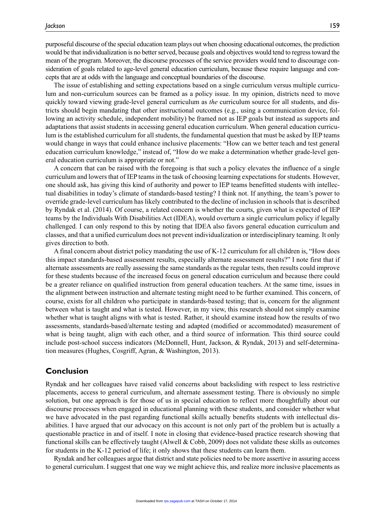purposeful discourse of the special education team plays out when choosing educational outcomes, the prediction would be that individualization is no better served, because goals and objectives would tend to regress toward the mean of the program. Moreover, the discourse processes of the service providers would tend to discourage consideration of goals related to age-level general education curriculum, because these require language and concepts that are at odds with the language and conceptual boundaries of the discourse.

The issue of establishing and setting expectations based on a single curriculum versus multiple curriculum and non-curriculum sources can be framed as a policy issue. In my opinion, districts need to move quickly toward viewing grade-level general curriculum as *the* curriculum source for all students, and districts should begin mandating that other instructional outcomes (e.g., using a communication device, following an activity schedule, independent mobility) be framed not as IEP goals but instead as supports and adaptations that assist students in accessing general education curriculum. When general education curriculum is the established curriculum for all students, the fundamental question that must be asked by IEP teams would change in ways that could enhance inclusive placements: "How can we better teach and test general education curriculum knowledge," instead of, "How do we make a determination whether grade-level general education curriculum is appropriate or not."

A concern that can be raised with the foregoing is that such a policy elevates the influence of a single curriculum and lowers that of IEP teams in the task of choosing learning expectations for students. However, one should ask, has giving this kind of authority and power to IEP teams benefitted students with intellectual disabilities in today's climate of standards-based testing? I think not. If anything, the team's power to override grade-level curriculum has likely contributed to the decline of inclusion in schools that is described by Ryndak et al. (2014). Of course, a related concern is whether the courts, given what is expected of IEP teams by the Individuals With Disabilities Act (IDEA), would overturn a single curriculum policy if legally challenged. I can only respond to this by noting that IDEA also favors general education curriculum and classes, and that a unified curriculum does not prevent individualization or interdisciplinary teaming. It only gives direction to both.

A final concern about district policy mandating the use of K-12 curriculum for all children is, "How does this impact standards-based assessment results, especially alternate assessment results?" I note first that if alternate assessments are really assessing the same standards as the regular tests, then results could improve for these students because of the increased focus on general education curriculum and because there could be a greater reliance on qualified instruction from general education teachers. At the same time, issues in the alignment between instruction and alternate testing might need to be further examined. This concern, of course, exists for all children who participate in standards-based testing; that is, concern for the alignment between what is taught and what is tested. However, in my view, this research should not simply examine whether what is taught aligns with what is tested. Rather, it should examine instead how the results of two assessments, standards-based/alternate testing and adapted (modified or accommodated) measurement of what is being taught, align with each other, and a third source of information. This third source could include post-school success indicators (McDonnell, Hunt, Jackson, & Ryndak, 2013) and self-determination measures (Hughes, Cosgriff, Agran, & Washington, 2013).

# **Conclusion**

Ryndak and her colleagues have raised valid concerns about backsliding with respect to less restrictive placements, access to general curriculum, and alternate assessment testing. There is obviously no simple solution, but one approach is for those of us in special education to reflect more thoughtfully about our discourse processes when engaged in educational planning with these students, and consider whether what we have advocated in the past regarding functional skills actually benefits students with intellectual disabilities. I have argued that our advocacy on this account is not only part of the problem but is actually a questionable practice in and of itself. I note in closing that evidence-based practice research showing that functional skills can be effectively taught (Alwell & Cobb, 2009) does not validate these skills as outcomes for students in the K-12 period of life; it only shows that these students can learn them.

Ryndak and her colleagues argue that district and state policies need to be more assertive in assuring access to general curriculum. I suggest that one way we might achieve this, and realize more inclusive placements as